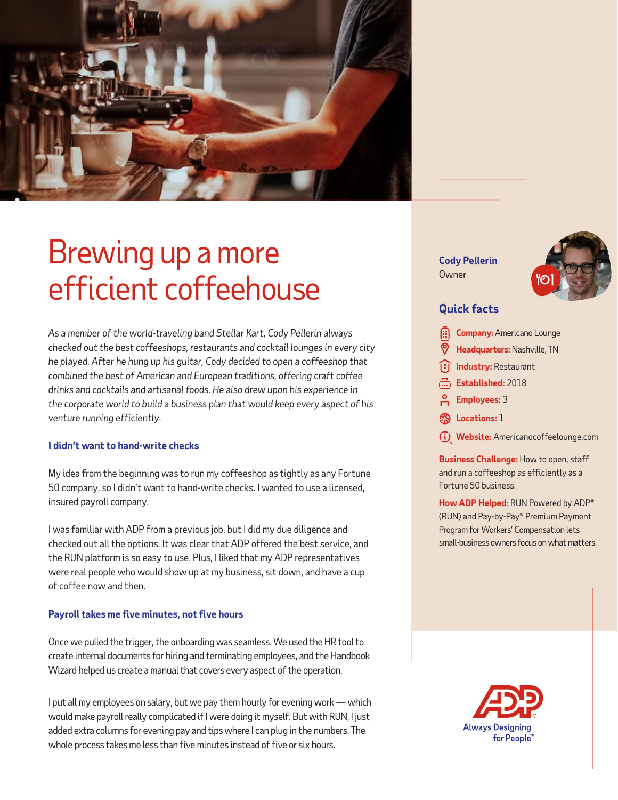

# Brewing up a more efficient coffeehouse

*As a member of the world-traveling band Stellar Kart, Cody Pellerin always checked out the best coffeeshops, restaurants and cocktail lounges in every city he played. After he hung up his guitar, Cody decided to open a coffeeshop that combined the best of American and European traditions, offering craft coffee drinks and cocktails and artisanal foods. He also drew upon his experience in the corporate world to build a business plan that would keep every aspect of his venture running efficiently.*

### **I didn't want to hand-write checks**

My idea from the beginning was to run my coffeeshop as tightly as any Fortune 50 company, so I didn't want to hand-write checks. I wanted to use a licensed, insured payroll company.

I was familiar with ADP from a previous job, but I did my due diligence and checked out all the options. It was clear that ADP offered the best service, and the RUN platform is so easy to use. Plus, I liked that my ADP representatives were real people who would show up at my business, sit down, and have a cup of coffee now and then.

## **Payroll takes me five minutes, not five hours**

Once we pulled the trigger, the onboarding was seamless. We used the HR tool to create internal documents for hiring and terminating employees, and the Handbook Wizard helped us create a manual that covers every aspect of the operation.

I put all my employees on salary, but we pay them hourly for evening work — which would make payroll really complicated if I were doing it myself. But with RUN, I just added extra columns for evening pay and tips where I can plug in the numbers. The whole process takes me less than five minutes instead of five or six hours.

**Cody Pellerin Owner** 



# **Quick facts**

- **Company:** Americano Lounge
- **Headquarters:**Nashville, TN
- **I**ll**ndustry:** Restaurant
- Established: 2018
- **Employees:** 3
- **B** Locations: 1
- **Website:** Americanocoffeelounge.com

**Business Challenge:** How to open, staff and run a coffeeshop as efficiently as a Fortune 50 business.

**How ADP Helped:** RUN Powered by ADP® (RUN) and Pay-by-Pay® Premium Payment Program for Workers' Compensation lets small-business owners focus on what matters.